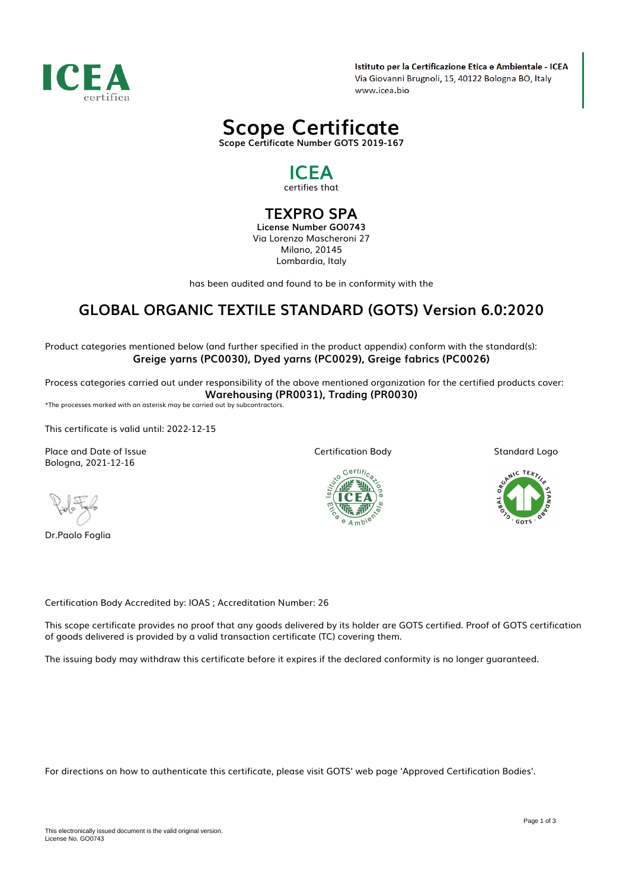

Istituto per la Certificazione Etica e Ambientale - ICEA Via Giovanni Brugnoli, 15, 40122 Bologna BO, Italy www.icea.bio



# *ICEA*

*certifies that*

## *TEXPRO SPA*

*License Number GO0743 Via Lorenzo Mascheroni 27 Milano, 20145 Lombardia, Italy*

*has been audited and found to be in conformity with the*

## *GLOBAL ORGANIC TEXTILE STANDARD (GOTS) Version 6.0:2020*

*Product categories mentioned below (and further specified in the product appendix) conform with the standard(s): Greige yarns (PC0030), Dyed yarns (PC0029), Greige fabrics (PC0026)*

*Process categories carried out under responsibility of the above mentioned organization for the certified products cover: Warehousing (PR0031), Trading (PR0030)*

*\*The processes marked with an asterisk may be carried out by subcontractors.*

*This certificate is valid until: 2022-12-15*

*Place and Date of Issue Bologna, 2021-12-16*

*Dr.Paolo Foglia*

*Certification Body*



*Standard Logo*



*Certification Body Accredited by: IOAS ; Accreditation Number: 26*

*This scope certificate provides no proof that any goods delivered by its holder are GOTS certified. Proof of GOTS certification of goods delivered is provided by a valid transaction certificate (TC) covering them.*

*The issuing body may withdraw this certificate before it expires if the declared conformity is no longer guaranteed.*

*For directions on how to authenticate this certificate, please visit GOTS' web page 'Approved Certification Bodies'.*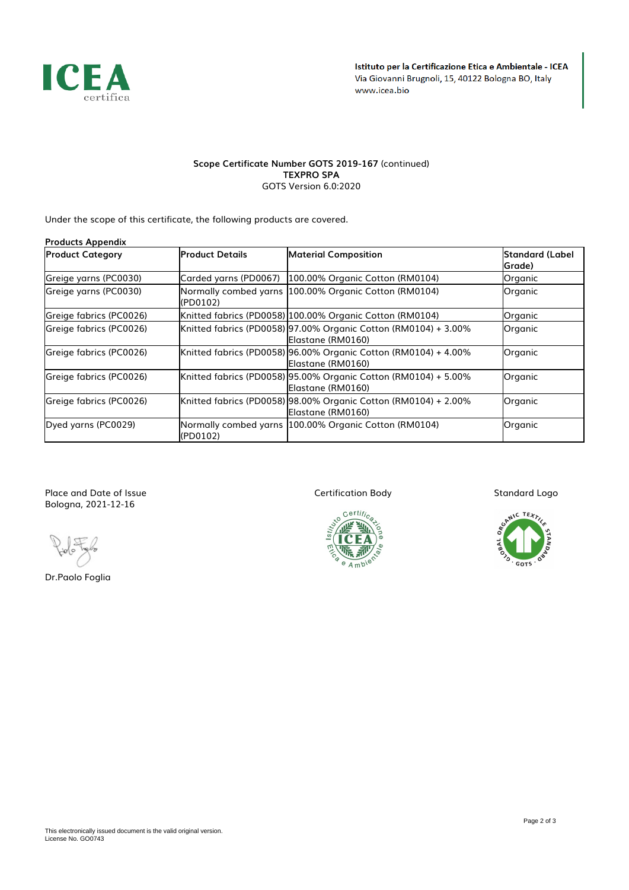

#### *Scope Certificate Number GOTS 2019-167 (continued) TEXPRO SPA GOTS Version 6.0:2020*

*Under the scope of this certificate, the following products are covered.*

| <b>Products Appendix</b> |                       |                                                                                      |                           |
|--------------------------|-----------------------|--------------------------------------------------------------------------------------|---------------------------|
| <b>Product Category</b>  | lProduct Details      | <b>Material Composition</b>                                                          | Standard (Label<br>Grade) |
| Greige yarns (PC0030)    | Carded yarns (PD0067) | 100.00% Organic Cotton (RM0104)                                                      | Organic                   |
| Greige yarns (PC0030)    | (PD0102)              | Normally combed yarns 100.00% Organic Cotton (RM0104)                                | Organic                   |
| Greige fabrics (PC0026)  |                       | Knitted fabrics (PD0058) 100.00% Organic Cotton (RM0104)                             | Organic                   |
| Greige fabrics (PC0026)  |                       | Knitted fabrics (PD0058) 97.00% Organic Cotton (RM0104) + 3.00%<br>Elastane (RM0160) | Organic                   |
| Greige fabrics (PC0026)  |                       | Knitted fabrics (PD0058) 96.00% Organic Cotton (RM0104) + 4.00%<br>Elastane (RM0160) | Organic                   |
| Greige fabrics (PC0026)  |                       | Knitted fabrics (PD0058) 95.00% Organic Cotton (RM0104) + 5.00%<br>Elastane (RM0160) | Organic                   |
| Greige fabrics (PC0026)  |                       | Knitted fabrics (PD0058) 98.00% Organic Cotton (RM0104) + 2.00%<br>Elastane (RM0160) | Organic                   |
| Dyed yarns (PC0029)      | (PD0102)              | Normally combed yarns 100.00% Organic Cotton (RM0104)                                | Organic                   |

*Place and Date of Issue Bologna, 2021-12-16*

*Dr.Paolo Foglia*

*Certification Body*



*Standard Logo*